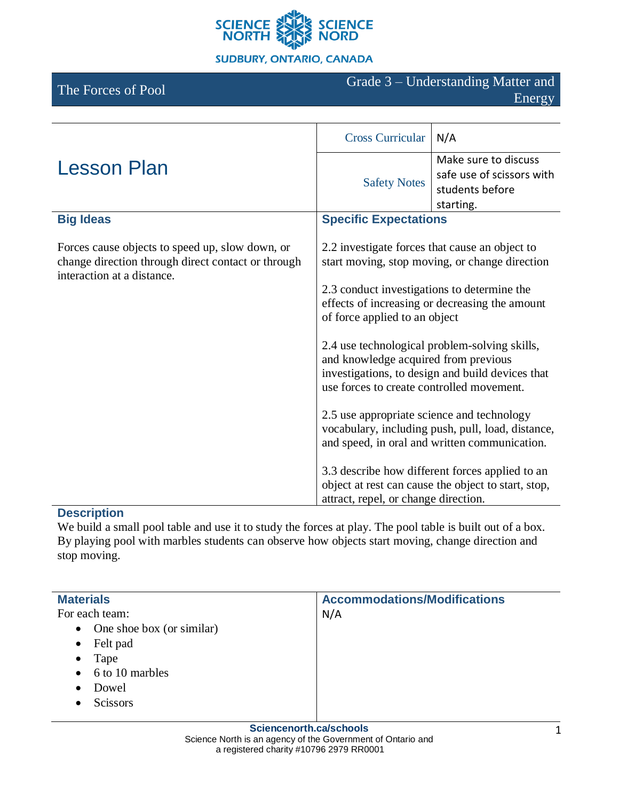

#### **SUDBURY, ONTARIO, CANADA**

The Forces of Pool Grade 3 – Understanding Matter and Energy

|                                                                                                                                     | <b>Cross Curricular</b>                                                                                                                                                                                                                                                                                                                                                                                                      | N/A                                                                                                    |
|-------------------------------------------------------------------------------------------------------------------------------------|------------------------------------------------------------------------------------------------------------------------------------------------------------------------------------------------------------------------------------------------------------------------------------------------------------------------------------------------------------------------------------------------------------------------------|--------------------------------------------------------------------------------------------------------|
| <b>Lesson Plan</b>                                                                                                                  | <b>Safety Notes</b>                                                                                                                                                                                                                                                                                                                                                                                                          | Make sure to discuss<br>safe use of scissors with<br>students before<br>starting.                      |
| <b>Big Ideas</b>                                                                                                                    | <b>Specific Expectations</b>                                                                                                                                                                                                                                                                                                                                                                                                 |                                                                                                        |
| Forces cause objects to speed up, slow down, or<br>change direction through direct contact or through<br>interaction at a distance. | 2.2 investigate forces that cause an object to<br>start moving, stop moving, or change direction<br>2.3 conduct investigations to determine the<br>effects of increasing or decreasing the amount<br>of force applied to an object<br>2.4 use technological problem-solving skills,<br>and knowledge acquired from previous<br>investigations, to design and build devices that<br>use forces to create controlled movement. |                                                                                                        |
|                                                                                                                                     |                                                                                                                                                                                                                                                                                                                                                                                                                              |                                                                                                        |
|                                                                                                                                     |                                                                                                                                                                                                                                                                                                                                                                                                                              |                                                                                                        |
|                                                                                                                                     | 2.5 use appropriate science and technology                                                                                                                                                                                                                                                                                                                                                                                   | vocabulary, including push, pull, load, distance,<br>and speed, in oral and written communication.     |
|                                                                                                                                     | attract, repel, or change direction.                                                                                                                                                                                                                                                                                                                                                                                         | 3.3 describe how different forces applied to an<br>object at rest can cause the object to start, stop, |

# **Description**

We build a small pool table and use it to study the forces at play. The pool table is built out of a box. By playing pool with marbles students can observe how objects start moving, change direction and stop moving.

| <b>Materials</b>                       | <b>Accommodations/Modifications</b> |
|----------------------------------------|-------------------------------------|
| For each team:                         | N/A                                 |
| One shoe box (or similar)<br>$\bullet$ |                                     |
| Felt pad<br>$\bullet$                  |                                     |
| Tape<br>$\bullet$                      |                                     |
| $\bullet$ 6 to 10 marbles              |                                     |
| Dowel<br>$\bullet$                     |                                     |
| Scissors                               |                                     |
|                                        |                                     |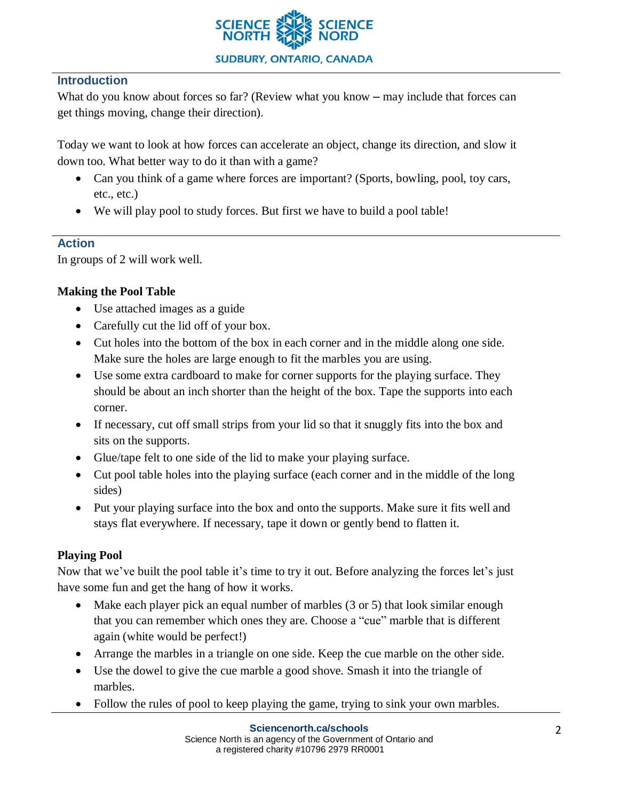

## **Introduction**

What do you know about forces so far? (Review what you know – may include that forces can get things moving, change their direction).

Today we want to look at how forces can accelerate an object, change its direction, and slow it down too. What better way to do it than with a game?

- Can you think of a game where forces are important? (Sports, bowling, pool, toy cars, etc., etc.)
- We will play pool to study forces. But first we have to build a pool table!

### **Action**

In groups of 2 will work well.

## **Making the Pool Table**

- Use attached images as a guide
- Carefully cut the lid off of your box.
- Cut holes into the bottom of the box in each corner and in the middle along one side. Make sure the holes are large enough to fit the marbles you are using.
- Use some extra cardboard to make for corner supports for the playing surface. They should be about an inch shorter than the height of the box. Tape the supports into each corner.
- If necessary, cut off small strips from your lid so that it snuggly fits into the box and sits on the supports.
- Glue/tape felt to one side of the lid to make your playing surface.
- Cut pool table holes into the playing surface (each corner and in the middle of the long sides)
- Put your playing surface into the box and onto the supports. Make sure it fits well and stays flat everywhere. If necessary, tape it down or gently bend to flatten it.

### **Playing Pool**

Now that we've built the pool table it's time to try it out. Before analyzing the forces let's just have some fun and get the hang of how it works.

- Make each player pick an equal number of marbles (3 or 5) that look similar enough that you can remember which ones they are. Choose a "cue" marble that is different again (white would be perfect!)
- Arrange the marbles in a triangle on one side. Keep the cue marble on the other side.
- Use the dowel to give the cue marble a good shove. Smash it into the triangle of marbles.
- Follow the rules of pool to keep playing the game, trying to sink your own marbles.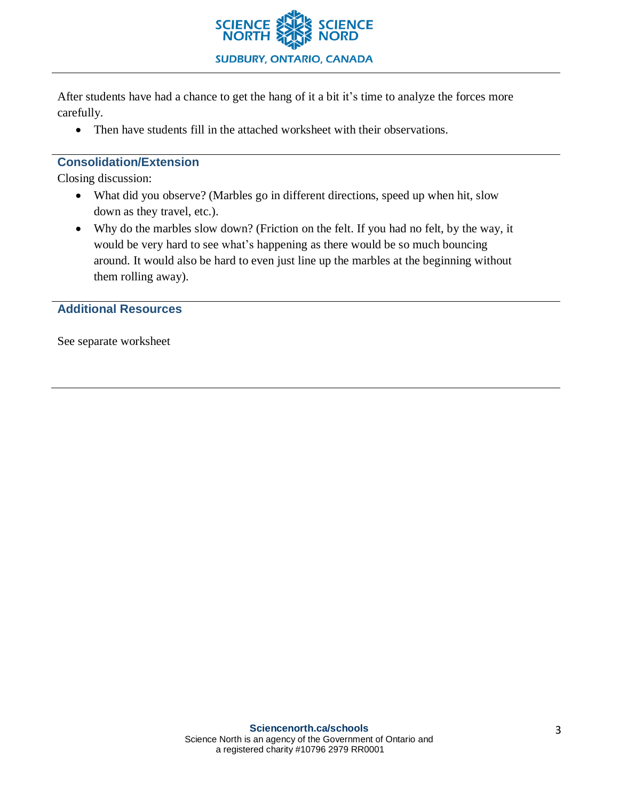

After students have had a chance to get the hang of it a bit it's time to analyze the forces more carefully.

• Then have students fill in the attached worksheet with their observations.

### **Consolidation/Extension**

Closing discussion:

- What did you observe? (Marbles go in different directions, speed up when hit, slow down as they travel, etc.).
- Why do the marbles slow down? (Friction on the felt. If you had no felt, by the way, it would be very hard to see what's happening as there would be so much bouncing around. It would also be hard to even just line up the marbles at the beginning without them rolling away).

**Additional Resources**

See separate worksheet